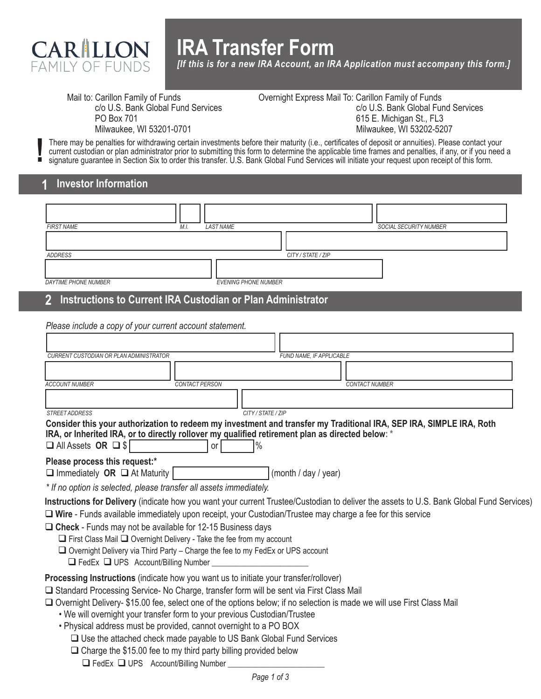

# **IRA Transfer Form**

*[If this is for a new IRA Account, an IRA Application must accompany this form.]*

Mail to: Carillon Family of Funds c/o U.S. Bank Global Fund Services PO Box 701 Milwaukee, WI 53201-0701

Overnight Express Mail To: Carillon Family of Funds c/o U.S. Bank Global Fund Services 615 E. Michigan St., FL3 Milwaukee, WI 53202-5207

There may be penalties for withdrawing certain investments before their maturity (i.e., certificates of deposit or annuities). Please contact your current custodian or plan administrator prior to submitting this form to determine the applicable time frames and penalties, if any, or if you need a signature guarantee in Section Six to order this transfer. U.S. Bank Global Fund Services will initiate your request upon receipt of this form.

## **1 Investor Information**

**!**

| <b>FIRST NAME</b>    | M.I. | <b>LAST NAME</b>            |                    | SOCIAL SECURITY NUMBER |
|----------------------|------|-----------------------------|--------------------|------------------------|
|                      |      |                             |                    |                        |
| ADDRESS              |      |                             | CITY / STATE / ZIP |                        |
|                      |      |                             |                    |                        |
| DAYTIME PHONE NUMBER |      | <b>EVENING PHONE NUMBER</b> |                    |                        |

### **2 Instructions to Current IRA Custodian or Plan Administrator**

*Please include a copy of your current account statement.*

| CURRENT CUSTODIAN OR PLAN ADMINISTRATOR<br>FUND NAME, IF APPLICABLE                                                                                                                                                                                                                                                                                                                                                                                                                                                                                                                                                                                                        |
|----------------------------------------------------------------------------------------------------------------------------------------------------------------------------------------------------------------------------------------------------------------------------------------------------------------------------------------------------------------------------------------------------------------------------------------------------------------------------------------------------------------------------------------------------------------------------------------------------------------------------------------------------------------------------|
|                                                                                                                                                                                                                                                                                                                                                                                                                                                                                                                                                                                                                                                                            |
| <b>ACCOUNT NUMBER</b><br>CONTACT PERSON<br><b>CONTACT NUMBER</b>                                                                                                                                                                                                                                                                                                                                                                                                                                                                                                                                                                                                           |
| STREET ADDRESS<br>CITY / STATE / ZIP                                                                                                                                                                                                                                                                                                                                                                                                                                                                                                                                                                                                                                       |
| Consider this your authorization to redeem my investment and transfer my Traditional IRA, SEP IRA, SIMPLE IRA, Roth<br>IRA, or Inherited IRA, or to directly rollover my qualified retirement plan as directed below: *<br>$\Box$ All Assets OR $\Box$ \$<br>$\%$<br><b>or</b>                                                                                                                                                                                                                                                                                                                                                                                             |
| Please process this request:*<br>$\Box$ Immediately OR $\Box$ At Maturity<br>(month / day / year)                                                                                                                                                                                                                                                                                                                                                                                                                                                                                                                                                                          |
| * If no option is selected, please transfer all assets immediately.                                                                                                                                                                                                                                                                                                                                                                                                                                                                                                                                                                                                        |
| Instructions for Delivery (indicate how you want your current Trustee/Custodian to deliver the assets to U.S. Bank Global Fund Services)<br>$\Box$ Wire - Funds available immediately upon receipt, your Custodian/Trustee may charge a fee for this service                                                                                                                                                                                                                                                                                                                                                                                                               |
| $\Box$ Check - Funds may not be available for 12-15 Business days<br>$\Box$ First Class Mail $\Box$ Overnight Delivery - Take the fee from my account<br>$\Box$ Overnight Delivery via Third Party – Charge the fee to my FedEx or UPS account<br>$\Box$ FedEx $\Box$ UPS Account/Billing Number                                                                                                                                                                                                                                                                                                                                                                           |
| Processing Instructions (indicate how you want us to initiate your transfer/rollover)<br>□ Standard Processing Service- No Charge, transfer form will be sent via First Class Mail<br>□ Overnight Delivery- \$15.00 fee, select one of the options below; if no selection is made we will use First Class Mail<br>. We will overnight your transfer form to your previous Custodian/Trustee<br>. Physical address must be provided, cannot overnight to a PO BOX<br>$\Box$ Use the attached check made payable to US Bank Global Fund Services<br>$\Box$ Charge the \$15.00 fee to my third party billing provided below<br>$\Box$ FedEx $\Box$ UPS Account/Billing Number |
| Page 1 of 3                                                                                                                                                                                                                                                                                                                                                                                                                                                                                                                                                                                                                                                                |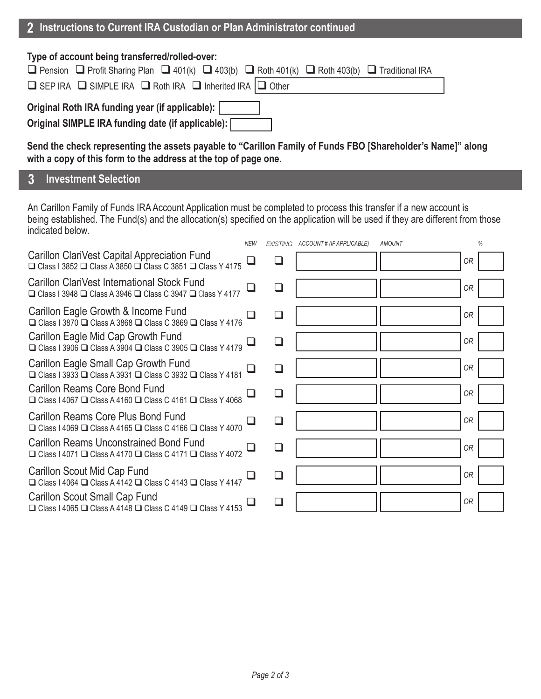## **2 Instructions to Current IRA Custodian or Plan Administrator continued**

#### **Type of account being transferred/rolled-over:**

| <b>O</b> Pension <b>Q</b> Profit Sharing Plan <b>Q</b> 401(k) <b>Q</b> 403(b) <b>Q</b> Roth 401(k) <b>Q</b> Roth 403(b) <b>Q</b> Traditional IRA |  |  |  |  |  |  |  |  |
|--------------------------------------------------------------------------------------------------------------------------------------------------|--|--|--|--|--|--|--|--|
| $\Box$ SEP IRA $\Box$ SIMPLE IRA $\Box$ Roth IRA $\Box$ Inherited IRA $\Box$ Other                                                               |  |  |  |  |  |  |  |  |
| Original Roth IRA funding year (if applicable):                                                                                                  |  |  |  |  |  |  |  |  |
| Original SIMPLE IRA funding date (if applicable):                                                                                                |  |  |  |  |  |  |  |  |

**Send the check representing the assets payable to "Carillon Family of Funds FBO [Shareholder's Name]" along with a copy of this form to the address at the top of page one.**

## **3 Investment Selection**

An Carillon Family of Funds IRA Account Application must be completed to process this transfer if a new account is being established. The Fund(s) and the allocation(s) specified on the application will be used if they are different from those indicated below.

| <b>NEW</b> |                                                                                                                                                                                                                                                                                                                                                                                                                                                                                                                                                                                                                                                                                                       | <b>AMOUNT</b>                      | %  |
|------------|-------------------------------------------------------------------------------------------------------------------------------------------------------------------------------------------------------------------------------------------------------------------------------------------------------------------------------------------------------------------------------------------------------------------------------------------------------------------------------------------------------------------------------------------------------------------------------------------------------------------------------------------------------------------------------------------------------|------------------------------------|----|
|            |                                                                                                                                                                                                                                                                                                                                                                                                                                                                                                                                                                                                                                                                                                       |                                    | 0R |
|            |                                                                                                                                                                                                                                                                                                                                                                                                                                                                                                                                                                                                                                                                                                       |                                    | 0R |
|            | H                                                                                                                                                                                                                                                                                                                                                                                                                                                                                                                                                                                                                                                                                                     |                                    | 0R |
|            |                                                                                                                                                                                                                                                                                                                                                                                                                                                                                                                                                                                                                                                                                                       |                                    | 0R |
|            |                                                                                                                                                                                                                                                                                                                                                                                                                                                                                                                                                                                                                                                                                                       |                                    | 0R |
|            |                                                                                                                                                                                                                                                                                                                                                                                                                                                                                                                                                                                                                                                                                                       |                                    | OR |
|            |                                                                                                                                                                                                                                                                                                                                                                                                                                                                                                                                                                                                                                                                                                       |                                    | 0R |
|            | H                                                                                                                                                                                                                                                                                                                                                                                                                                                                                                                                                                                                                                                                                                     |                                    | 0R |
|            |                                                                                                                                                                                                                                                                                                                                                                                                                                                                                                                                                                                                                                                                                                       |                                    | 0R |
|            |                                                                                                                                                                                                                                                                                                                                                                                                                                                                                                                                                                                                                                                                                                       |                                    | 0R |
|            | <b>□ Class I 3852 □ Class A 3850 □ Class C 3851 □ Class Y 4175</b><br>□ Class I 3870 □ Class A 3868 □ Class C 3869 □ Class Y 4176<br>$\Box$ Class I 3906 $\Box$ Class A 3904 $\Box$ Class C 3905 $\Box$ Class Y 4179<br><b>□ Class I 3933 □ Class A 3931 □ Class C 3932 □ Class Y 4181</b><br>$\Box$ Class I 4067 $\Box$ Class A 4160 $\Box$ Class C 4161 $\Box$ Class Y 4068<br>$\Box$ Class I 4069 $\Box$ Class A 4165 $\Box$ Class C 4166 $\Box$ Class Y 4070<br>$\Box$ Class I 4071 $\Box$ Class A 4170 $\Box$ Class C 4171 $\Box$ Class Y 4072<br>$\Box$ Class I 4064 $\Box$ Class A 4142 $\Box$ Class C 4143 $\Box$ Class Y 4147<br>□ Class I 4065 □ Class A 4148 □ Class C 4149 □ Class Y 4153 | EXISTING ACCOUNT # (IF APPLICABLE) |    |